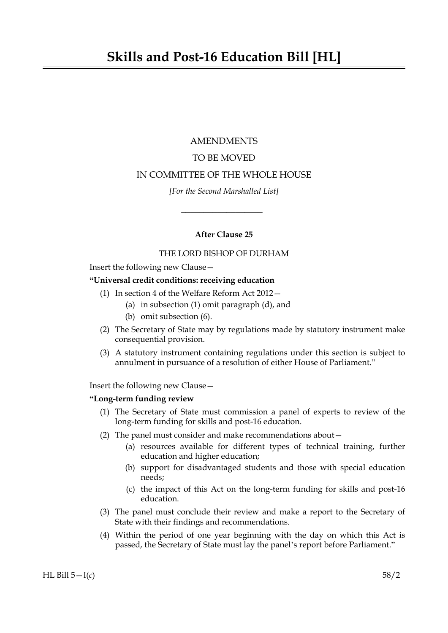# AMENDMENTS

# TO BE MOVED

## IN COMMITTEE OF THE WHOLE HOUSE

*[For the Second Marshalled List]*

 $\overline{\phantom{a}}$  , where  $\overline{\phantom{a}}$ 

## **After Clause 25**

## THE LORD BISHOP OF DURHAM

Insert the following new Clause—

# **"Universal credit conditions: receiving education**

- (1) In section 4 of the Welfare Reform Act 2012—
	- (a) in subsection (1) omit paragraph (d), and
	- (b) omit subsection (6).
- (2) The Secretary of State may by regulations made by statutory instrument make consequential provision.
- (3) A statutory instrument containing regulations under this section is subject to annulment in pursuance of a resolution of either House of Parliament."

Insert the following new Clause—

## **"Long-term funding review**

- (1) The Secretary of State must commission a panel of experts to review of the long-term funding for skills and post-16 education.
- (2) The panel must consider and make recommendations about—
	- (a) resources available for different types of technical training, further education and higher education;
	- (b) support for disadvantaged students and those with special education needs;
	- (c) the impact of this Act on the long-term funding for skills and post-16 education.
- (3) The panel must conclude their review and make a report to the Secretary of State with their findings and recommendations.
- (4) Within the period of one year beginning with the day on which this Act is passed, the Secretary of State must lay the panel's report before Parliament."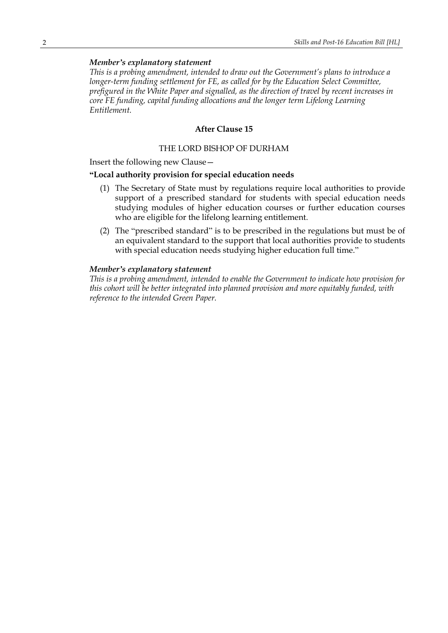## *Member's explanatory statement*

*This is a probing amendment, intended to draw out the Government's plans to introduce a longer-term funding settlement for FE, as called for by the Education Select Committee, prefigured in the White Paper and signalled, as the direction of travel by recent increases in core FE funding, capital funding allocations and the longer term Lifelong Learning Entitlement.*

## **After Clause 15**

### THE LORD BISHOP OF DURHAM

Insert the following new Clause—

#### **"Local authority provision for special education needs**

- (1) The Secretary of State must by regulations require local authorities to provide support of a prescribed standard for students with special education needs studying modules of higher education courses or further education courses who are eligible for the lifelong learning entitlement.
- (2) The "prescribed standard" is to be prescribed in the regulations but must be of an equivalent standard to the support that local authorities provide to students with special education needs studying higher education full time."

#### *Member's explanatory statement*

*This is a probing amendment, intended to enable the Government to indicate how provision for this cohort will be better integrated into planned provision and more equitably funded, with reference to the intended Green Paper.*